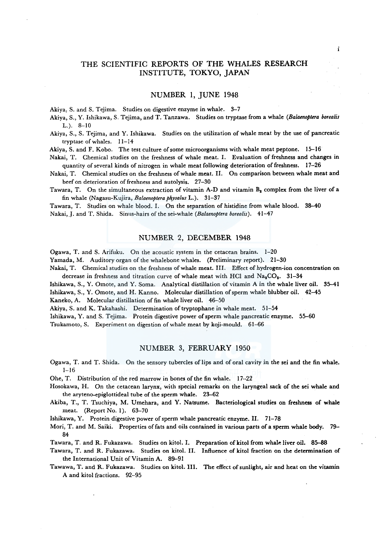# THE SCIENTIFIC REPORTS OF THE WHALES RESEARCH INSTITUTE, TOKYO, JAPAN

i

## NUMBER 1, JUNE 1948

Akiya, S. and S. Tejima. Studies on digestive enzyme in whale. 3-7

Akiya, S., Y. Ishikawa, S. Tejima, and T. Tanzawa. Studies on tryptase from a whale *(Balaenoptera borealis*  L.). 8-10

Akiya, S., S. Tejima, and Y. Ishikawa. Studies on the utilization of whale meat by the use of pancreatic tryptase of whales. 11-14

Akiya, S. and F. Kobo. The test culture of some microorganisms with whale meat peptone. 15-16

Nakai, T. Chemical studies on the freshness of whale meat. I. Evaluation of freshness and changes in quantity of several kinds of nitrogen in whale meat following deterioration of freshness. 17-26

Nakai, T. Chemical studies on the freshness of whale meat. II. On comparison between whale meat and beef on deterioration of freshness and autolysis. 27-30

Tawara, T. On the simultaneous extraction of vitamin A-D and vitamin  $B_2$  complex from the liver of a fin whale (Nagasu-Kujira, *Balaenoptera physalus* L.). 31-37

Tawara, T. Studies on whale blood. I. On the separation of histidine from whale blood. 38-40 Nakai, J. and T. Shida. Sinus-hairs of the sei-whale *(Balaenoptera borealis)*. 41-47

### NUMBER 2, DECEMBER 1948

Ogawa, T. and S. Arifuku. On the acoustic system in the cetacean brains. 1-20 Yamada, M. Auditory organ of the whalebone whales. (Preliminary report). 21-30 Nakai, T. Chemical studies on the freshness of whale meat. III. Effect of hydrogen-ion concentration on decrease in freshness and titration curve of whale meat with HCl and  $Na_2CO_2$ . 31-34

Ishikawa, S., Y. Omote, and Y. Soma. Analytical distillation of vitamin A in the whale liver oil. 35-41 Ishikawa, S., Y. Omote, and H. Kanno. Molecular distillation of sperm whale blubber oil. 42-45 Kaneko, A. Molecular distillation of fin whale liver oil. 46-50

Akiya, S. and K. Takahashi. Determination of tryptophane in whale meat. 51-54

Ishikawa, Y. and S. Tejima. Protein digestive power of sperm whale pancreatic enzyme. 55-60

Tsukamoto, S. Experiment on digestion of whale meat by koji-mould. 61-66

#### NUMBER 3, FEBRUARY 1950

Ogawa, T. and T. Shida. On the sensory tubercles of lips and of oral cavity in the sei and the fin whale.  $1 - 16$ 

Ohe, T. Distribution of the red marrow in bones of the fin whale. 17--22

- Hosokawa, H. On the cetacean larynx, with special remarks on the laryngeal sack of the sei whale and the aryteno-epiglottideal tube of the sperm whale. 23-62
- Akiba, T., T. Tsuchiya, M. Umehara, and Y. Natsume. Bacteriological studies on freshness of whale meat. (Report No. 1). 63-70

Ishikawa, Y. Protein digestive power of sperm whale pancreatic enzyme. II. 71-78

Mori, T. and M. Saiki. Properties of fats and oils contained in various parts of a sperm whale body. 79- 84

Tawara, T. and R. Fukazawa. Studies on kitol. I. Preparation of kitol from whale liver oil. 85-88

Tawara, T. and R. Fukazawa. Studies on kitol. II. Influence of kitol fraction on the determination of the International Unit of Vitamin A. 89-91

Tawawa, T. and R. Fukazawa. Studies on kitol. III. The effect of sunlight, air and heat on the vitamin A and kitol fractions. 92-95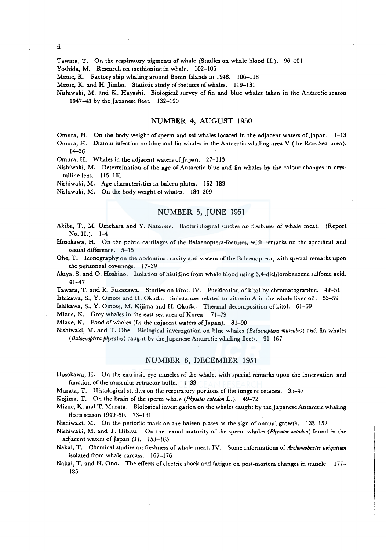Tawara, T. On the respiratory pigments of whale (Studies on whale blood II.). 96-101

Yoshida, M. Research on methionine in whale. 102-105

Mizue, K. Factory ship whaling around Bonin Islands in 1948. 106-118

Mizue, K. and H. Jimbo. Statistic study of foetuses of whales. 119-131

Nishiwaki, M. and K. Hayashi. Biological survey of fin and blue whales taken in the Antarctic season 1947-48 by the Japanese fleet. 132-190

# NUMBER 4, AUGUST 1950

Omura, H. On the body weight of sperm and sei whales located in the adjacent waters of Japan. 1-13

Omura, H. Diatom infection on blue and fin whales in the Antarctic whaling area V (the Ross Sea area). 14-26

Omura, H. Whales in the adjacent waters of Japan. 27-113

Nishiwaki, M. Determination of the age of Antarctic blue and fin whales by the colour changes in crystalline lens. 115-161

Nishiwaki, M. Age characteristics in baleen plates. 162-183

Nishiwaki, M. On the body weight of whales. 184-209

# NUMBER 5, JUNE 1951

Akiba, T., M. Umehara and Y. Natsume. Bacteriological studies on freshness of whale meat. (Report No. II.). 1-4

Hosokawa, H. On the pelvic cartilages of the Balaenoptera-foetuses, with remarks on the specifical and sexual difference. 5-15

Ohe, T. Iconography on the abdominal cavity and viscera of the Balaenoptera, with special remarks upon the peritoneal coverings. 17-39

Akiya, S. and 0. Hoshino. Isolation of histidine from whale blood using 3,4-dichlorobenzene sulfonic acid. 41-47

Tawara, T. and R. Fukazawa. Studies on kitol. IV. Purification ofkitol by chromatographic. 49-51 Ishikawa, S., Y. Omote and H. Okuda. Substances related to vitamin A in the whale liver oil. 53-59

Ishikawa, S., Y. Omote, M. Kijima and H. Okuda. Thermal decomposition of kitol. 61-69

Mizue, K. Grey whales in the east sea area of Korea. 71-79

Mizue, K. Food of whales (In the adjacent waters of Japan). 81-90

Nishiwaki, M. and T. Ohe. Biological investigation on blue whales *(Balaenoptera musculus)* and fin whales *(Balaenoptera pliysalus)* caught by the Japanese Antarctic whaling fleets. 91-167

### NUMBER 6, DECEMBER 1951

Hosokawa, H. On the extrinsic eye muscles of the whale. with special remarks upon the innervation and function of the musculus retractor bulbi.  $-1-33$ 

Murata, T. Histological studies on the respiratory portions of the lungs of cetacea. 35-47

Kojima, T. On the brain of the sperm whale *(Physeter catodon* L.). 49-72

Mizue, K. and T. Murata. Biological investigation on the whales caught by the Japanese Antarctic whaling fleets season 1949-50. 73-131

Nishiwaki, M. On the periodic mark on the haleen plates as the sign of annual growth. 133-152

Nishiwaki, M. and T. Hibiya. On the sexual maturity of the sperm whales (Physeter catodon) found <sup>1</sup>u the adjacent waters of Japan (I). 153-165

Nakai, T. Chemical studies on freshness of whale meat. IV. Some informations of *Archomobacter ubiquitum*  isolated from whale carcass. 167-176

Nakai, T. and H. Ono. The effects of electric shock and fatigue on post-mortem changes in muscle. 177- 185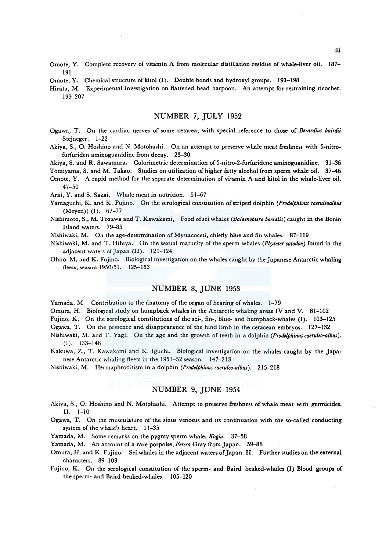- Omote, Y. Complete recovery of vitamin A from molecular distillation residue of whale-liver oil. 187- 191
- Omote, Y. Chemical structure of kitol (I). Double bonds and hydroxyl groups. 193-198

Hirata, M. Experimental investigation on flattened head harpoon. An attempt for restraining ricochet. 199-207

### NUMBER 7, JULY 1952

- Ogawa, T. On the cardiac nerves of some cetacea, with special reference to those of *Berardius bairdii*  Stejneger. 1-22
- Akiya, S., 0. Hoshino and N. Motohashi. On an attempt to preserve whale meat freshness with 5-nitrofurfuriden aminoguanidine from decay. 23-30

Akiya, S. and R. Sawamura. Colorimetric determination of 5-nitro-2-furfuridene aminoguanidine. 31-36

Tomiyama, S. and M. Takao. Studies on utilization of higher fatty alcohol from sperm whale oil. 37-46

Omote, Y. A rapid method for the separate determination of vitamin A and kitol in the whale-liver oil. 47-50

Arai, Y. and S. Sakai. Whale meat in nutrition. 51-67

- Yamaguchi, K. and K. Fujino. On the serological constitution of striped dolphin *(Prodelphinus caeruleoalbus*  (Meyen)) (I). 67-77
- Nishimoto, S., M. Tozawa and T. Kawakami, Food ofsei whales *(Balaenoptera borealis)* caught in the Bonin Island waters. 79-85
- Nishiwaki, M. On the age-determination of Mystacoceti, chiefly blue and fin whales. 87-119
- Nishiwaki, M. and T. Hibiya. On the sexual maturity of the sperm whales *(Physeter catodon)* found in the adjacent waters of Japan (II). 121-124
- Ohno, M. and K. Fujino. Biological investigation on the whales caught by the Japanese Antarctic whaling fleets, season 1950/51. 125–183

### NUMBER 8, JUNE 1953

Yamada, M. Contribution to the anatomy of the organ of hearing of whales. 1-79

Omura, H. Biological study on humpback whales in the Antarctic whaling areas IV and V. 81-102

Fujino, K. On the serological constitutions of the sei-, fin-, blue- and humpback-whales (I). 103-125

Ogawa, T. On the presence and disappearance of the hind limb in the cetacean embryos. 127-132

- Nishiwaki, M. and T. Yagi. On the age and the growth of teeth in a dolphin *(Prodelphinuscaeruleo-albus).*  (I). 133-146
- Kakuwa, Z., T. Kawakami and K. Iguchi. Biological investigation on the whales caught by the Japanese Antarctic whaling fleets in the 1951-52 season. 147-213

Nishiwaki, M. Hermaphroditism in a dolphin *(Prodelphinuscaeruleo-albus).* 215-218

# NUMBER 9, JUNE 1954

- Akiya, S., 0. Hoshino and N. Motohashi. Attempt to preserve freshness of whale meat with germicides. II. 1-10
- Ogawa, T. On the musculature of the sinus venosus and its continuation with the so-called conducting system of the whale's heart. 11-35

Yamada, M. Some remarks on the pygmy sperm whale, *Kogia.* 37-58

Yamada, M. An account of a rare porpoise, *Feresa* Gray from Japan. 59-88

- Omura, H. and K. Fujino. Sei whales in the adjacent waters of Japan. II. Further studies on the external characters. 89-103
- Fujino, K. On the serological constitution of the sperm- and Baird beaked-whales (I) Blood groups of the sperm- and Baird beaked-whales. 105-120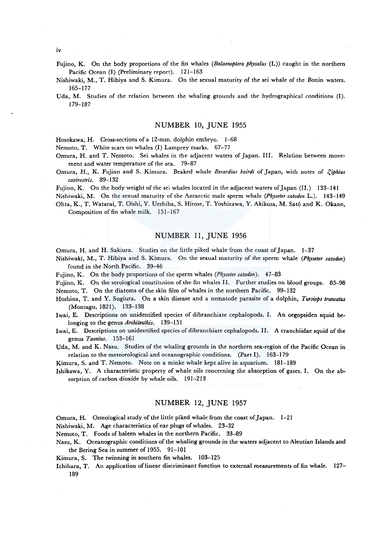- Fujino, K. On the body proportions of the fin whales *(Balaenoptera physalus* (L)) caught in the northern Pacific Ocean (I) (Preliminary report). 121-163
- Nishiwaki, M., T. Hibiya and S. Kimura. On the sexual maturity of the sei whale of the Bonin waters. 165-177
- Uda, M. Studies of the relation between the whaling grounds and the hydrographical conditions (I). *179-187*

# NUMBER 10, JUNE 1955

Hosokawa, H. Cross-sections of a 12-mm. dolphin embryo. 1-68

Nemoto, T. White scars on whales (I) Lamprey marks. 67-77

- Omura, H. and T. Nemoto. Sei whales in the adjacent waters of Japan. III. Relation between movement and water temperature of the sea. 79-87
- Omura, H., K. Fujino and S. Kimura. Beaked whale *Berardius bairdi* of Japan, with notes of *-?,iphius cavirostris.* 89-132

Fujino, K. On the body weight of the sei whales located in the adjacent waters of Japan (11.) 133-141

Nishiwaki, M. On the sexual maturity of the Antarctic male sperm whale *(Physeter catodon* L.). 143-149 Ohta, K., T. Watarai, T. Oishi, Y. Ueshiba, S. Hirose, T. Yoshizawa, Y. Akikusa, M. Sato and K. Okano,

Composition of fin whale milk. 151-167

### NUMBER 11, JUNE 1956

Omura, H. and H. Sakiura. Studies on the little piked whale from the coast of Japan. 1-37

- Nishiwaki, M., T. Hibiya and S. Kimura. On the sexual maturity of the sperm whale *(Physeter catodon)*  found in the North Pacific. 39-46
- Fujino, K. On the body proportions of the sperm whales (Physeter catodon). 47-83
- Fujino, K. On the serological constitution of the fin whales II. Further studies on blood groups. 85-98 Nemoto, T. On the diatoms of the skin film of whales in the northern Pacific. 99-132
- Hoshina, T. and Y. Sugiura. On a skin disease and a nematode parasite of a dolphin, *Tursiops truncatus*  (Montagu, 1821). 133-138
- Iwai, E. Descriptions on unidentified species of dibranchiate cephalopods. I. An oegopsiden squid belonging to the genus *Architeuthis.* 139-151
- Iwai, E. Descriptions on unidentified species of dibranchiate cephalopods. II. A cranchiidae squid of the genus *Taonius.* 153-161

Uda, M. and K. Nasu. Studies of the whaling grounds in the northern sea-region of the Pacific Ocean in relation to the meteorological and oceanographic conditions. (Part I). 163-179

Kimura, S. and T. Nemoto. Note on a minke whale kept alive in aquarium. 181-189

Ishikawa, Y. A characteristic property of whale oils concerning the absorption of gases. I. On the absorption of carbon dioxide by whale oils. 191-213

### NUMBER 12, JUNE 1957

Omura, H. Osteological study of the little piked whale from the coast of Japan. 1-21

Nishiwaki, M. Age characteristics of ear plugs of whales. 23-32

Nemoto, T. Foods of baleen whales in the northern Pacific. 33-89

- Nasu, K. Oceanographic conditions of the whaling grounds in the waters adjacent to Aleutian Islands and the Bering Sea in summer of 1955. 91-101
- Kimura, S. The twinning in southern fin whales. 103-125
- Ichihara, T. An application of linear discriminant function to external measurements of fin whale. 127-189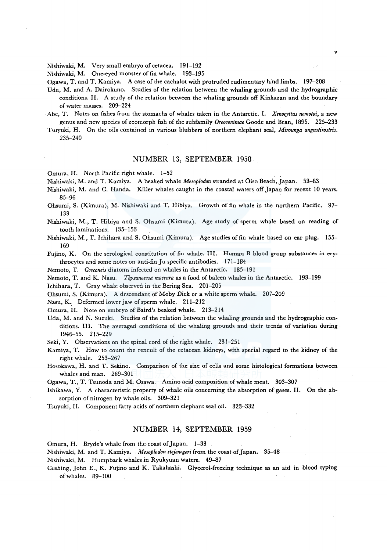Nishiwaki, M. Very small embryo of cetacea. 191-192

Nishiwaki, M. One-eyed monster of fin whale. 193-195

Ogawa, T. and T. Kamiya. A case of the cachalot with protruded rudimentary hind limbs. 197-208

Uda, M. and A. Dairokuno. Studies of the relation between the whaling grounds and the hydrographic conditions. II. A study of the relation between the whaling grounds off Kinkazan and the boundary of water masses. 209-224

Abe, T. Notes on fishes from the stomachs of whales taken in the Antarctic. I. *Xenocyttus nemotoi,* a new genus and new species of zeomorph fish of the subfamily *Oreosonimae* Goode and Bean, 1895. 225--233

Tsuyuki, H. On the oils contained in various blubbers of northern elephant seal, *Mirounga angustirostris.*  235-240

#### NUMBER 13, SEPTEMBER 1958

Omura, H. North Pacific right whale. 1-52

Nishiwaki, M. and T. Kamiya. A beaked whale *Mesoplodon* stranded at Oiso Beach, Japan. 53--83

- Nishiwaki, M. and C. Handa. Killer whales caught in the coastal waters off Japan for recent 10 years. 85-96
- Ohsumi, S. (Kimura), M. Nishiwaki and T. Hibiya. Growth of fin whale in the northern Pacific. 97- 133
- Nishiwaki, M., T. Hibiya and S. Ohsumi (Kimura). Age study of sperm whale based on reading of tooth laminations. 135-153
- Nishiwaki, M., T. Ichihara and S. Ohsumi (Kimura). Age studies of fin whale based on ear plug. 155- 169

Fujino, K. On the serological constitution of fin whale. III. Human B blood group substances in erythrocytes and some notes on anti-fin Ju specific antibodies. 171-184

Nemoto, T. *Cocconeis* diatoms infected on whales in the Antarctic. 185-191

Nemoto, T. and K. Nasu. *Thysanoessa macrura* as a food of baleen whales in the Antarctic. 193-199

Ichihara, T. Gray whale observed in the Bering Sea. 201-205

Ohsumi, S. (Kimura). A descendant of Moby Dick or a white sperm whale. 207-209

Nasu, K. Deformed lower jaw of sperm whale. 211-212

Omura, H. Note on embryo of Baird's beaked whale. 213-214

Uda, M. and N. Suzuki. Studies of the relation between the whaling grounds and the hydrographic conditions. III. The averaged conditions of the whaling grounds and their trends of variation during 1946-55. 215-229

Seki, Y. Observations on the spinal cord of the right whale. 231-251

Kamiya, T. How to count the renculi of the cetacean kidneys, with special regard to the kidney of the right whale. 253-267

Hosokawa, H. and T. Sekino. Comparison of the size of cells and some histological formations between whales and man. 269-301

Ogawa, T., T. Tsunoda and M. Osawa. Amino acid composition of whale meat. 303-307

- Ishikawa, Y. A characteristic property of whale oils concerning the absorption of gases. II. On the absorption of nitrogen by whale oils. 309-321
- Tsuyuki, H. Component fatty acids of northern elephant seal oil. 323-332

#### NUMBER 14, SEPTEMBER 1959

Omura, H. Bryde's whale from the coast of Japan. 1-33

Nishiwaki, M. and T. Kamiya. *Mesoplodon stejenegeri* from the coast of Japan. 35--48

Nishiwaki, M. Humpback whales in Ryukyuan waters. 49–87

Cushing, John E., K. Fujino and K. Takahashi. Glycerol-freezing technique as an aid in blood typing of whales. 89-100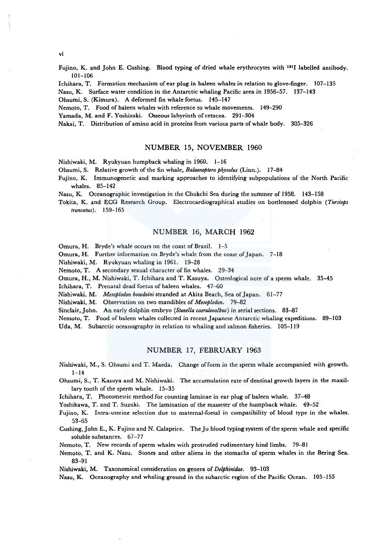vi

Fujino, K. and John E. Cushing. Blood typing of dried whale erythrocytes with <sup>131</sup>I labelled antibody. 101-106

Ichihara, T. Formation mechanism of ear plug in baleen whales in relation to glove-finger. 107-135

Nasu, K. Surface water condition in the Antarctic whaling Pacific area in 1956-57. 137-143

Ohsumi, S. (Kimura). A deformed fin whale foetus. 145-147

Nemoto, T. Food of baleen whales with reference to whale movements. 149-290

Yamada, M. and F. Yoshizaki. Osseous labyrinth of cetacea. 291-304

Nakai, T. Distribution of amino acid in proteins from various parts of whale body. 305-326

### NUMBER 15, NOVEMBER 1960

Nishiwaki, M. Ryukyuan humpback whaling in 1960. 1-16

Ohsumi, S. Relative growth of the fin whale, *Balaenoptera ph\_ysalus* (Linn.). 17-84

Fujino, K. Immunogenetic and marking approaches to identifying subpopulations of the North Pacific whales. 85-142

Nasu, K. Oceanographic investigation in the Chukchi Sea during the summer of 1958. 143-158

Tokita, K. and ECG Research Group. Electrocardiographical studies on bottlenosed dolphin *(Tursiops truncatus* ). 159-165

### NUMBER 16, MARCH 1962

Omura, H. Bryde's whale occurs on the coast of Brazil. 1-5

Omura, H. Further information on Bryde's whale from the coast of Japan. 7-18

Nishiwaki, M. Ryukyuan whaling in 1961. 19-28

Nemoto, T. A secondary sexual character of fin whales. 29-34

Omura, H., M. Nishiwaki, T. Ichihara and T. Kasuya. Osteological note of a sperm whale. 35-45

Ichihara, T. Prenatal dead foetus of baleen whales. 47-60

Nishiwaki, M. *Mesoplodon bowdoini* stranded at Akita Beach, Sea ofJapan. 61-77

Nishiwaki, M. Observation on two mandibles of *Mesoplodon.* 79-82

Sinclair, John. An early dolphin embryo *(Stene/la caeruleoalbus)* in serial sections. 83-87

Nemoto, T. Food of baleen whales collected in recent Japanese Antarctic whaling expeditions. 89-103

Uda, M. Subarctic oceanography in relation to whaling and salmon fisheries. 105-119

#### NUMBER 17, FEBRUARY 1963

Nishiwaki, M., S. Ohsumi and T. Maeda. Change of form in the sperm whale accompanied with growth.  $1 - 14$ 

Ohsumi, S., T. Kasuya and M. Nishiwaki. The accumulation rate of dentinal growth layers in the maxillary tooth of the sperm whale. 15-35

Ichihara, T. Photometric method for counting laminae in ear plug of baleen whale. 37-48

Yoshikawa, T. and T. Suzuki. The lamination of the masseter of the humpback whale. 49-52

Fujino, K. Intra-uterine selection due to maternal-foetal in compatibility of blood type in the whales. 53-65

Cushing, John E., K. Fujino and N. Calaprice. The Ju blood typing system of the sperm whale and specific soluble substances. 67-77

Nemoto, T. New records of sperm whales with protruded rudimentary hind limbs. 79-81

Nemoto, T. and K. Nasu. Stones and other aliens in the stomachs of sperm whales in the Bering Sea. 83-91

Nishiwaki, M. Taxonomical consideration on genera of *Delphinidae.* 93-103

Nasu, K. Oceanography and whaling ground in the subarctic region of the Pacific Ocean. 105-155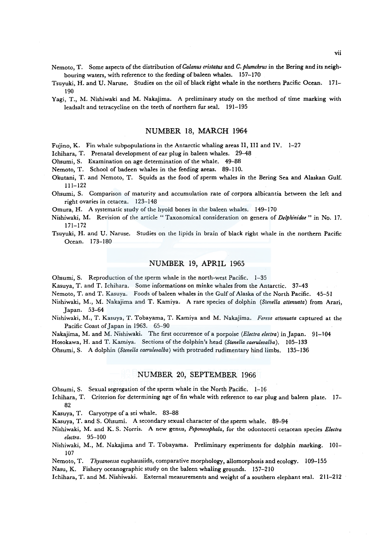Nemoto, T. Some aspects of the distribution of *Ca/anus cristatus* and *C. plumchrus* in the Bering and its neigh· bouring waters, with reference to the feeding of baleen whales. 157-170

- Tsuyuki, H. and U. Naruse. Studies on the oil of black right whale in the northern Pacific Ocean. 171- 190
- Yagi, T., M. Nishiwaki and M. Nakajima. A preliminary study on the method of time marking with leadsalt and tetracycline on the teeth of northern fur seal. 191-195

#### NUMBER 18, MARCH 1964

Fujino, K. Fin whale subpopulations in the Antarctic whaling areas II, III and IV. 1-27

Ichihara, T. Prenatal development of ear plug in baleen whales. 29-48

Ohsumi, S. Examination on age determination of the whale. 49-88

Nemoto, T. School of badeen whales in the feeding areas. 89-110.

Okutani, T. and Nemoto, T. Squids as the food of sperm whales in the Bering Sea and Alaskan Gulf. 111-122

Ohsumi, S. Comparison of maturity and accumulation rate of corpora albicantia between the left and right ovaries in cetacea. 123-148

Omura, H. A systematic study of the hyoid bones in the baleen whales. 149-170

- Nishiwaki, M. Revision of the article "Taxonomical consideration on genera of *Delphinidae* " in No. 17. 171-172
- Tsuyuki, H. and U. Naruse. Studies on the lipids in brain of black right whale in the northern Pacific Ocean. 173-180

#### NUMBER 19, APRIL 1965

Ohsumi, S. Reproduction of the sperm whale in the north-west Pacific. 1-35

Kasuya, T. and T. Ichihara. Some informations on minke whales from the Antarctic. 37-43

Nemoto, T. and T. Kasuya. Foods of baleen whales in the Gulf of Alaska of the North Pacific. 45-51

- Nishiwaki, M., M. Nakajima and T. Kamiya. A rare species of dolphin *(Stene/la attenuata)* from Arari, Japan. 53-64
- Nishiwaki, M., T. Kasuya, T. Tobayama, T. Kamiya and M. Nakajima. *Feresa attenuata* captured at the Pacific Coast of Japan in 1963. 65-90

Nakajima, M. and M. Nishiwaki. The first occurrence ofa porpoise *(Electra electra)* in Japan. 91-104

Hosokawa, H. and T. Kamiya. Sections of the dolphin's head *(Stene/la caeruleoalha).* 105-133

Ohsumi, S. A dolphin *(Stene/la caeruleoalba)* with protruded rudimentary hind limbs. 135-136

### NUMBER 20, SEPTEMBER 1966

Ohsumi, S. Sexual segregation of the sperm whale in the North Pacific. 1-16

Ichihara, T. Criterion for determining age of fin whale with reference to ear plug and baleen plate. 17- 82

Kasuya, T. Caryotype of a sei whale. 83-88

Kasuya, T. and S. Ohsumi. A secondary sexual character of the sperm whale. 89-94

Nishiwaki, M. and K. S. Norris. A new genus, *Peponocephala,* for the odontoceti cetacean species *Electra electra.* 95-100

Nishiwaki, M., M. Nakajima and T. Tobayama. Preliminary experiments for dolphin marking. 101- 107

Nemoto, T. *Thysanoessa* euphausiids, comparative morphology, allomorphosis and ecology. 109-155

Nasu, K. Fishery oceanographic study on the baleen whaling grounds. 157-210

lchihara, T. and M. Nishiwaki. External measurements and weight of a southern elephant seal. 211-212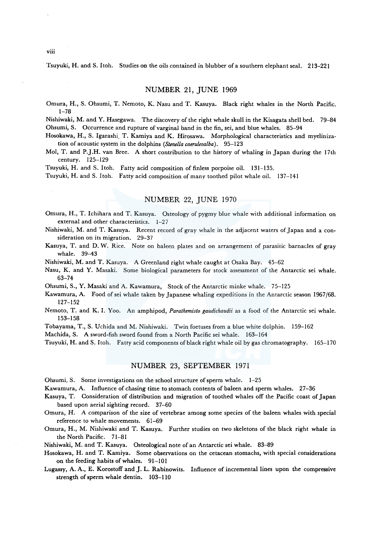Tsuyuki, H. and S. Itoh. Studies on the oils contained in blubber of a southern elephant seal. 213-221

#### NUMBER 21, JUNE 1969

Omura, H., S. Ohsumi, T. Nemoto, K. Nasu and T. Kasuya. Black right whales in the North Pacific. 1-78

Nishiwaki, M. and Y. Hasegawa. The discovery of the right whale skull in the Kisagata shell bed. 79-84 Ohsumi, S. Occurrence and rupture of varginal band in the fin, sei, and blue whales. 85-94

Hosokawa, H., S. Igarashi. T. Kamiya and K. Hirosawa. Morphological characteristics and myelinization of acoustic system in the dolphins *(Stene/la caeruleoalba).* 95-123

Mol, T. and P.J.H. van Bree. A short contribution to the history of whaling in Japan during the l 7th century. 125-129

Tsuyuki, H. and S. Itoh. Fatty acid composition of finless porpoise oil. 131-135.

Tsuyuki, H. and S. Itoh. Fatty acid composition of many toothed pilot whale oil. 137-141

# NUMBER 22, JUNE 1970

Omura, H., T. Ichihara and T. Kasuya. Osteology of pygmy blue whale with additional information on external and other characteristics. 1-27

Nishiwaki, M. and T. Kasuya. Recent record of gray whale in the adjacent waters of Japan and a consideration on its migration. 29-37

Kasuya, T. and D. W. Rice. Note on baleen plates and on arrangement of parasitic barnacles of gray whale. 39-43

Nishiwaki, M. and T. Kasuya. A Greenland right whale caught at Osaka Bay. 45-62

Nasu, K. and Y. Masaki. Some biological parameters for stock assessment of the Antarctic sei whale. 63-74

Ohsumi, S., Y. Masaki and A. Kawamura, Stock of the Antarctic minke whale. 75-125

Kawamura, A. Food ofsei whale taken by Japanese whaling expeditions in the Antarctic season 1967/68. 127-152

Nemoto, T. and K. I. Yoo. An amphipod, *Parathemisto gaudichaudii* as a food of the Antarctic sei whale. 153-158

Tobayama, T., S. Uchida and M. Nishiwaki. Twin foetuses from a blue white dolphin. 159-162

Machida, S. A sword-fish sword found from a North Pacific sei whale. 163-164

Tsuyuki, H. and S. Itoh. Fatty acid components of black right whale oil by gas chromatography. 165-170

### NUMBER 23, SEPTEMBER 1971

Ohsumi, S. Some investigations on the school structure of sperm whale. 1-25

Kawamura, A. Influence of chasing time to stomach contents of baleen and sperm whales. 27-36

Kasuya, T. Consideration of distribution and migration of toothed whales off the Pacific coast of Japan based upon aerial sighting record. 37-60

Omura, H. A comparison of the size of vertebrae among some species of the baleen whales with special reference to whale movements. 61-69

Omura, H., M. Nishiwaki and T. Kasuya. Further studies on two skeletons of the black right whale in the North Pacific. 71-81

Nishiwaki, M. and T. Kasuya. Osteological note of an Antarctic sei whale. 83-89

Hosokawa, H. and T. Kamiya. Some observations on the cetacean stomachs, with special considerations on the feeding habits of whales. 91-101

Lugassy, A. A., E. Korostoff and J. L. Rabinowits. Influence of incremental lines upon the compressive strength of sperm whale dentin. 103-110

viii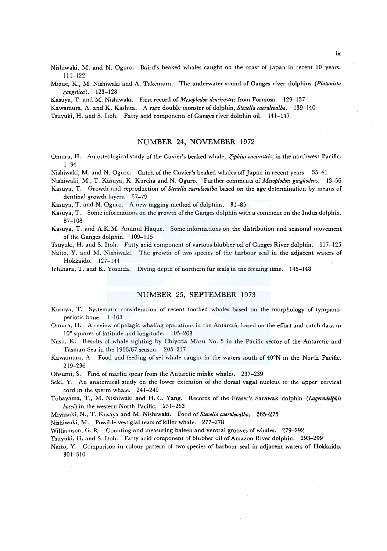Nishiwaki, M. and N. Oguro. Baird's beaked whales caught on the coast of Japan in recent 10 years. 111-122

Mizue, K., M. Nishiwaki and A. Takemura. The underwater sound of Ganges river dolphins *(Platanista gangetica* ). 123-128

Kasuya, T. and M. Nishiwaki. First record of *Mesoplodon densirostris* from Formosa. 129-137

Kawamura, A. and K. Kashita. A rare double monster of dolphin, *Stene/la caeruleoalba.* 139-140

Tsuyuki, H. and S. Itoh. Fatty acid components of Ganges river dolphin oil. 141-147

#### NUMBER 24, NOVEMBER 1972

Omura, H. An osteological study of the Cuvier's beaked whale, *Ziphius cavirostris*, in the northwest Pacific. 1-34

Nishiwaki, M. and N. Oguro. Catch of the Cuvier's beaked whales off Japan in recent years. 35-41

Nishiwaki, M., T. Kasuya, K. Kureha and N. Oguro. Further comments of *Mesoplodor. gingkodens.* 43-56 Kasuya, T. Growth and reproduction of *Stene/la caeruleoalba* based on the age determination by means of

dentinal growth layers. 57-79

Kasuya, T. and N. Oguro. A new tagging method of dolphins. 81-85

Kasuya, T. Some informations on the growth of the Ganges dolphin with a comment on the Indus dolphin. 87-108

Kasuya, T. and A.K.M. Aminul Haque. Some informations on the distribution and seasonal movement of the Ganges dolphin. 109-115

Tsuyuki, H. and S. Itoh. Fatty acid component of various blubber oil of Ganges River dolphin. 117-125

Naito, Y. and M. Nishiwaki. The growth of two species of the harbour seal in the adjacent waters of Hokkaido. 127-144

Ichihara, T. and K. Yoshida. Diving depth of northern fur seals in the feeding time. 145-148

# NUMBER 25, SEPTEMBER 1973

Kasuya, T. Systematic consideration of recent toothed whales based on the morphology of tympanoperiotic bone. 1-103

Omura, H. A review of pelagic whaling operations in the Antarctic based on the effort and catch data in 10° squares of latitude and longitude. 105-203

Nasu, K. Results of whale sighting by Chiyoda Maru No. 5 in the Pacific sector of the Antarctic and Tasman Sea in the 1966/67 season. 205-217

Kawamura, A. Food and feeding of sei whale caught in the waters south of 40°N in the North Pacific. 219-236

Ohsumi, S. Find of marlin spear from the Antarctic minke whales. 237-239

Seki, Y. An anatomical study on the lower extension of the dorasl vagal nucleus to the upper cervical cord in the sperm whale. 241-249

Tobayama, T., M. Nishiwaki and H. C. Yang. Records of the Fraser's Sarawak dolphin *(lagmodelphis hosei)* in the western North Pacific, 251-263

Miyazaki, N., T. Kusaya and M. Nishiwaki. Food of *Stenella caeruleoalba.* 265-275

Nishiwaki, M. Possible vestigial teats of killer whale. 277-278

Williamson, G. R. Counting and measuring baleen and ventral grooves of whales. 279-292

Tsuyuki, H. and S. Itoh. Fatty acid component of blubber oil of Amazon River dolphin. 293-299

Naito, Y. Comparison in colour pattern of two species of harbour seal in adjacent waters of Hokkaido. 301-310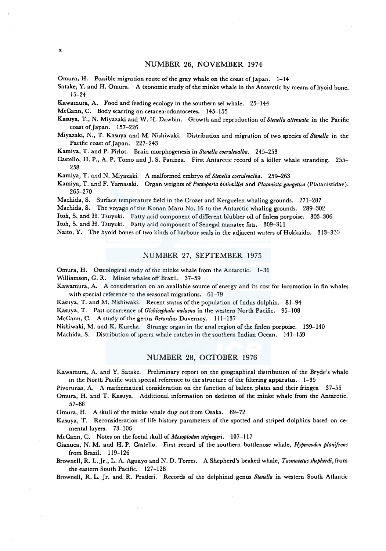# NUMBER 26, NOVEMBER 1974

Omura, H. Possible migration route of the gray whale on the coast of Japan.  $1-14$ 

Satake, Y. and H. Omura. A txonomic study of the minke whale in the Antarctic by means of hyoid bone. 15-24

Kawamura, A. Food and feeding ecology in the southern sei whale. 25-144

McCann, C. Body scarring on cetacea-odontocetes. 145-155

x

Kasuya, T., N. Miyazaki and W. H. Dawbin. Growth and reproduction of *Stenella attenuata* in the Pacific coast of Japan. 157-226

Miyazaki, N., T. Kasuya and M. Nishiwaki. Distribution and migration of two species of *Stenella* in the Pacific coast of Japan. 227-243

Kamiya, T. and P. Pirlot. Brain morphogenesis in *Stene/la coeruleoalba.* 245-253

Castello, H. P., A. P. Tomo and J. S. Panizza. First Antarctic record of a killer whale stranding. 255-258

Kamiya, T. and N. Miyazaki. A malformed embryo of *Stene/la coeruleoalba.* 259-263

Kamiya, T. and F. Yamasaki. Organ weights of *Pontoporia blainvillei* and *Platanista gangetica* (Platanistidae). 265-270

Machida, S. Surface temperature field in the Crozet and Kerguelen whaling grounds. 271-287

Machida, S. The voyage of the Konan Maru No. 16 to the Antarctic whaling grounds. 289-302

I toh, S. and H. Tsuyuki. Fatty acid component of different blubber oil of finless porpoise. 303-306

Itoh, S. and H. Tsuyuki. Fatty acid component of Senegal manatee fats. 309-311

Naito, Y. The hyoid bones of two kinds of harbour seals in the adjacent waters of Hokkaido. 313-320

### NUMBER 27, SEPTEMBER 1975

Omura, H. Osteological study of the minke whale from the Antarctic. 1-36

Williamson, G. R. Minke whales off Brazil. 37-59

Kawamura, A. A consideration on an available source of energy and its cost for locomotion in fin whales with special reference to the seasonal migrations. 61-79

Kasuya, T. and M. Nishiwaki. Recent status of the population of Indus dolphin. 81-94

Kasuya, T. Past occurrence of *Globicephala melaena* in the western North Pacific. 95-108

McCann, C. A study of the genus *Berardius* Duvernoy. 111-137

Nishiwaki, M. and K. Kureha. Strange organ in the anal region of the finless porpoise. 139-140

Machida. S. Distribution of sperm whale catches in the southern Indian Ocean. 141-159

# NUMBER 28, OCTOBER 1976

Kawamura, A. and Y. Satake. Preliminary report on the geographical distribution of the Bryde's whale in the North Pacific with special reference to the structure of the filtering apparatus. 1-35

Pivorunas, A. A mathematical consideration on the function of baleen plates and their fringes. 37-55

Omura, H. and T. Kasuya. Additional information on skeleton of the minke whale from the Antarctic. 57-68

Omura, H. A skull of the minke whale dug out from Osaka. 69-72

Kasuya, T. Reconsideration of life history parameters of the spotted and striped dolphins based on cemental layers. 73-106

McCann, C. Notes on the foetal skull of *Mesoplodon stejnegeri.* 107-117

Gianuca, N. M. and H. P. Castello. First record of the southern bottlenose whale, *Hyperoodon planifrons*  from Brazil. 119-126

Brownell, R. L. Jr., L. A. Aguayo and N. D. Torres. A Shepherd's beaked whale, *Tasmacetus shepherdi,* from the eastern South Pacific. 127-128

Brownell, R. L. Jr. and R. Praderi. Records of the delphinid genus *Stenella* in western South Atlantic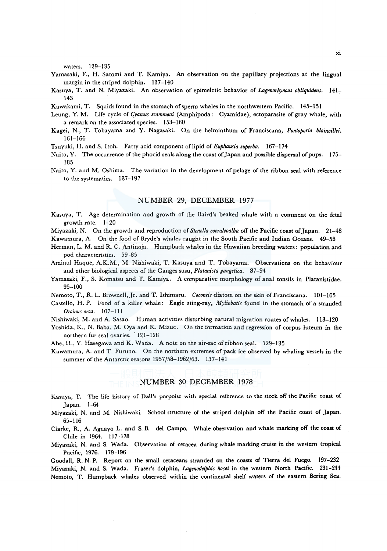waters. 129-135

- Yamasaki, F., H. Satomi and T. Kamiya. An observation on the papillary projections at the lingual margin in the striped dolphin. 137-140
- Kasuya, T. and N. Miyazaki. An observation of epimeletic behavior of *Lagenorhyncus obliquidens.* 141- 143

Kawakami, T. Squids found in the stomach of sperm whales in the northwestern Pacific. 145-151

- Leung, Y. M. Life cycle of *l;yamus scammoni* (Amphipoda: Cyamidae), ectoparasite of gray whale, with a remark on the associated species. 153-160
- Kagei, N., T. Tobayama and Y. Nagasaki. On the helminthum of Franciscana, *Pontoporia blainvillei.*  161-166
- Tsuyuki, H. and S. Itoh. Fatty acid component of lipid of *Euphausia superba.* 167-174
- Naito, Y. The occurrence of the phocid seals along the coast of Japan and possible dispersal of pups. 175-185
- Naito, Y. and M. Oshima. The variation in the development of pelage of the ribbon seal with reference to the systematics. 187-197

### NUMBER 29, DECEMBER 1977

Kasuya, T. Age determination and growth of the Baird's beaked whale with a comment on the feta! growth rate. 1-20

Miyazaki, N. On the growth and reproduction of *Stenella coeruleoalba* off the Pacific coast of Japan. 21-48 Kawamura, A. On the food of Bryde's whales caught in the South Pacific and Indian Oceans. 49-58

- Herman, L. M. and R. C. Antinoja. Humpback whales in the Hawaiian breeding waters: population and pod characteristics. 59-85
- Aminul Haque, A.K.M., M. Nishiwaki, T. Kasuya and T. Tobayama. Observations on the behaviour and other biological aspects of the Ganges susu, *Platanista gangetica.* 87-94
- Yamasaki, F., S. Komatsu and T. Kamiya. A comparative morphology of anal tonsils in Platanistidae. 95-100

Nemoto, T., R. L. Brownell, Jr. and T. Ishimaru. *Coconeis* diatom on the skin of Franciscana. 101-105

- Castello, H.P. Food of a killer whale: Eagle sting-ray, *Myliobatis* found in the stomach of a stranded *Orci11us orca.* 107-111
- Nishiwaki, M. and A. Sasao. Human activities disturbing natural migration routes of whales. 113-120

Yoshida, K., N. Baba, M. Oya and K. Mizue. On the formation and regression of corpus luteum in the northern fur seal ovaries. 121-128

Abe, H., Y. Hasegawa and K. Wada. A note on the air-sac of ribbon seal. 129-135

Kawamura, A. and T. Furuno. On the northern extremes of pack ice observed by whaling vessels in the summer of the Antarctic seasons 1957/58-1962/63. 137-141

### NUMBER 30 DECEMBER 1978

Kasuya, T. The life history of Dall's porpoise with special reference to the stock off the Pacific coast of Japan. 1-64

Miyazaki, N. and M. Nishiwaki. School structure of the striped dolphin off the Pacific coast of Japan. 65-116

Clarke, R., A. Aguayo L. and S. B. de! Campo. Whale observation and whale marking off the coast of Chile in 1964. 117-178

Miyazaki, N. and S. Wada. Observation of cetacea during whale marking cruise in the western tropical Pacific, 1976. 179-196

Goodall, R. N. P. Report on the small cetaceans stranded on the coasts of Tierra de! Fuego. 197-232 Miyazaki, N. and S. Wada. Fraser's dolphin, *Lagenodelphis hosei* in the western North Pacific. 231-244 Nemoto, T. Humpback whales observed within the continental shelf waters of the eastern Bering Sea.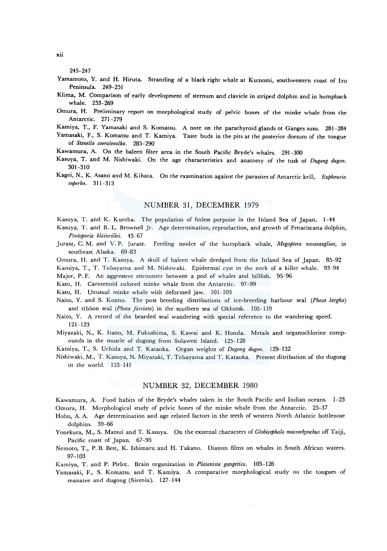245-247

- Yamamoto, Y. and H. Hiruta. Stranding of a black right whale at Kumomi, southwestern coast of Izu Peninsula. 249-251
- Klima, M. Comparison of early development of sternum and clavicle in striped dolphin and in humpback whale. 253-269
- Omura, H. Preliminary report on morphological study of pelvic bones of the minke whale from the Antarctic. 271-279
- Kamiya, T., F. Yamasaki and S. Komatsu. A note on the parathyroid glands ot Ganges susu. 281-284
- Yamasaki, F., S. Komatsu and T. Kamiya. Taste buds in the pits at the posterior dorsum of the tongue of *Stene/la coeruleoalba.* 285-290
- Kawamura, A. On the baleen filter area in the South Pacific Bryde's whales. 291-300
- Kasuya, T. and M. Nishiwaki. On the age characteristics and anatomy of the tusk of *Dugong dugon.*  301-310
- Kagei, N., K. Asano and M. Kihata. On the examination against the parasites of Antarctic krill, *Euphausia superba.* 311-313

#### NUMBER 31, DECEMBER 1979

Kasuya, T. and K. Kureha. The population of finless porpoise in the Inland Sea of Japan. 1-44

- Kasuya, T. and R. L. Brownell Jr. Age determination, reproduction, and growth of Frnaciscana dolphin, *Pontoporia blainvillei.* 45-67
- Jurasz, C. M. and V. P. Jurasz. Feeding modes of the humpback whale, *Megaptera novaeangliae,* in southeast Alaska. 69-83
- Omura, H. and T. Kasuya. A skull of baleen whale dredged from the Inland Sea of Japan. 85-92 Kamiya, T., T. Tobayama and M. Nishiwaki. Epidermal cyst in the neck of a killer whale. 93-94

Major, P. F. An aggressive encounter between a pod of whales and billfish. 95-96

Kato, H. Carotenoid colored minke whale from the Antarctic. 97-99

Kato, H. Unusual minke whale with deformed jaw. 101-103

- Naito, Y. and S. Konno. The post breeding distributions of ice-breeding harbour seal *(Phoca largha)*  and ribbon seal *(Phoca fasciata)* in the southern sea of Okhotsk. 105-119
- Naito, Y. A record of the bearded seal wandering with special reference to the wandering speed. 121-123
- Miyazaki, N., K. Itano, M. Fukushima, S. Kawai and K. Honda. Metals and organochlorine compounds in the muscle of dugong from Sulawesi Island. 125-128

Kamiya, T., S. Uchida and T. Kataoka. Organ weights of *Dugong dugon.* 129-132

Nishiwaki, M., T. Kasuya, N. Miyazaki, T. Tobayama and T. Kataoka. Present ditribution of the dugong in the world. 133-141

### NUMBER 32, DECEMBER 1980

Kawamura, A. Food habits of the Bryde's whales taken in the South Pacific and Indian oceans. 1-23 Omura, H. Morphological study of pelvic bones of the minke whale from the Antarctic. 25-37

Hohn, A. A. Age determination and age related factors in the teeth of western North Atlantic bottlenose dolphins. 39-66

- Yonekura, M., S. Matsui and T. Kasuya. On the external characters of *Globicephala macrorhynchus* off Taiji, Pacific coast of Japan. 67-95
- Nemoto, T., P. B. Best, K. Ishimaru and H. Takano. Diatom films on whales in South African waters. 97-103

Kamiya, T. and P. Pirlot. Brain organization in *Platanista gangetica.* 105-126

Yamasaki, F., S. Komatsu and T. Kamiya. A comparative morphological study on the tongues of manatee and dugong (Sirenia). 127-144